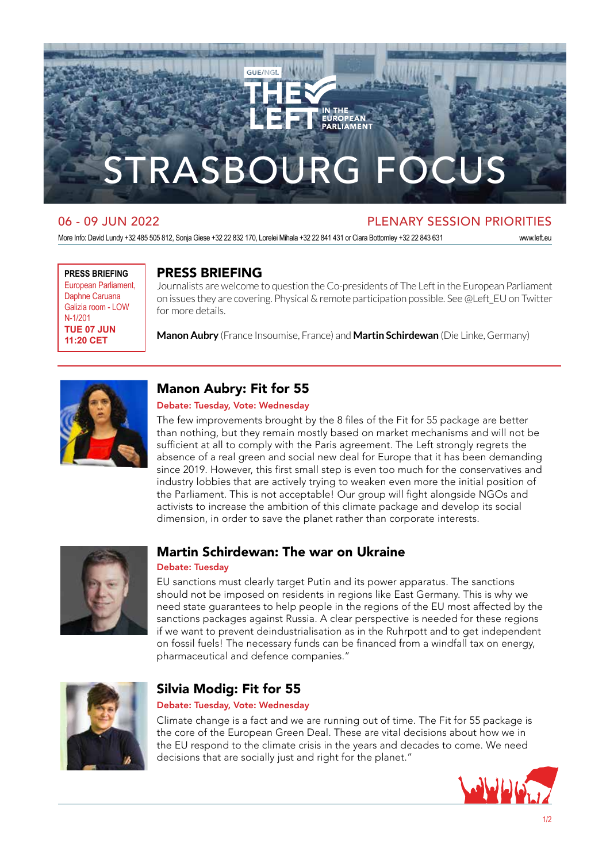

## 06 - 09 JUN 2022 PLENARY SESSION PRIORITIES

More Info: David Lundy +32 485 505 812, Sonja Giese +32 22 832 170, Lorelei Mihala +32 22 841 431 or Ciara Bottomley +32 22 843 631 www.left.eu

**PRESS BRIEFING** European Parliament, Daphne Caruana Galizia room - LOW N-1/201 **TUE 07 JUN 11:20 CET**

### PRESS BRIEFING

Journalists are welcome to question the Co-presidents of The Left in the European Parliament on issues they are covering. Physical & remote participation possible. See @Left\_EU on Twitter for more details.

**Manon Aubry** (France Insoumise, France) and **Martin Schirdewan** (Die Linke, Germany)



## Manon Aubry: Fit for 55

#### Debate: Tuesday, Vote: Wednesday

The few improvements brought by the 8 files of the Fit for 55 package are better than nothing, but they remain mostly based on market mechanisms and will not be sufficient at all to comply with the Paris agreement. The Left strongly regrets the absence of a real green and social new deal for Europe that it has been demanding since 2019. However, this first small step is even too much for the conservatives and industry lobbies that are actively trying to weaken even more the initial position of the Parliament. This is not acceptable! Our group will fight alongside NGOs and activists to increase the ambition of this climate package and develop its social dimension, in order to save the planet rather than corporate interests.



### Martin Schirdewan: The war on Ukraine

#### Debate: Tuesday

EU sanctions must clearly target Putin and its power apparatus. The sanctions should not be imposed on residents in regions like East Germany. This is why we need state guarantees to help people in the regions of the EU most affected by the sanctions packages against Russia. A clear perspective is needed for these regions if we want to prevent deindustrialisation as in the Ruhrpott and to get independent on fossil fuels! The necessary funds can be financed from a windfall tax on energy, pharmaceutical and defence companies."



## Silvia Modig: Fit for 55

#### Debate: Tuesday, Vote: Wednesday

Climate change is a fact and we are running out of time. The Fit for 55 package is the core of the European Green Deal. These are vital decisions about how we in the EU respond to the climate crisis in the years and decades to come. We need decisions that are socially just and right for the planet."